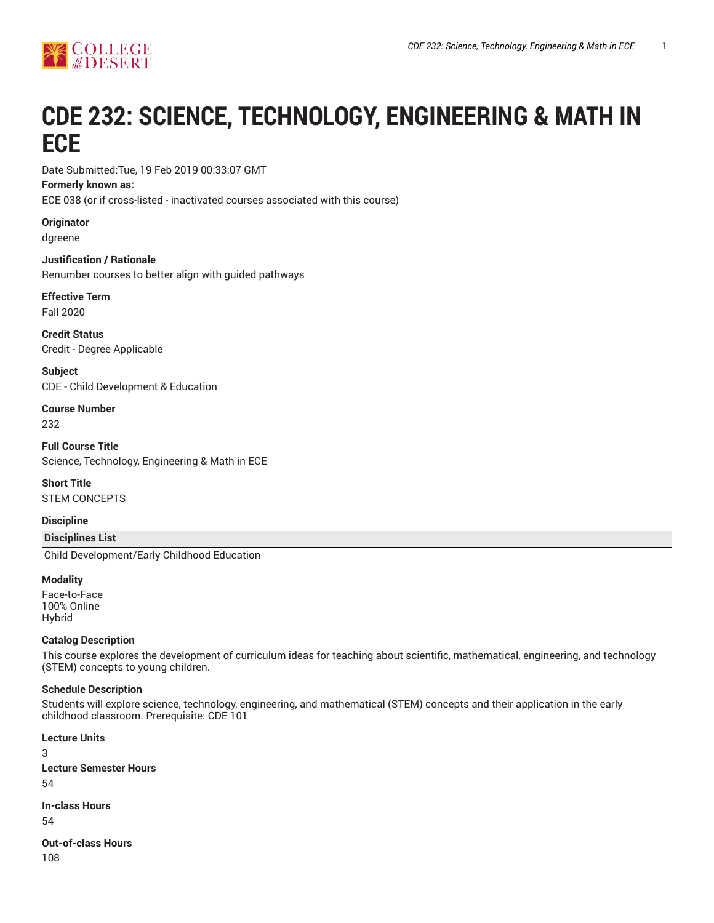

# **CDE 232: SCIENCE, TECHNOLOGY, ENGINEERING & MATH IN ECE**

Date Submitted:Tue, 19 Feb 2019 00:33:07 GMT

#### **Formerly known as:**

ECE 038 (or if cross-listed - inactivated courses associated with this course)

**Originator**

dgreene

**Justification / Rationale** Renumber courses to better align with guided pathways

**Effective Term** Fall 2020

**Credit Status** Credit - Degree Applicable

**Subject** CDE - Child Development & Education

**Course Number** 232

**Full Course Title** Science, Technology, Engineering & Math in ECE

**Short Title** STEM CONCEPTS

**Discipline**

**Disciplines List**

Child Development/Early Childhood Education

#### **Modality**

Face-to-Face 100% Online Hybrid

## **Catalog Description**

This course explores the development of curriculum ideas for teaching about scientific, mathematical, engineering, and technology (STEM) concepts to young children.

## **Schedule Description**

Students will explore science, technology, engineering, and mathematical (STEM) concepts and their application in the early childhood classroom. Prerequisite: CDE 101

**Lecture Units** 3 **Lecture Semester Hours** 54 **In-class Hours** 54

**Out-of-class Hours** 108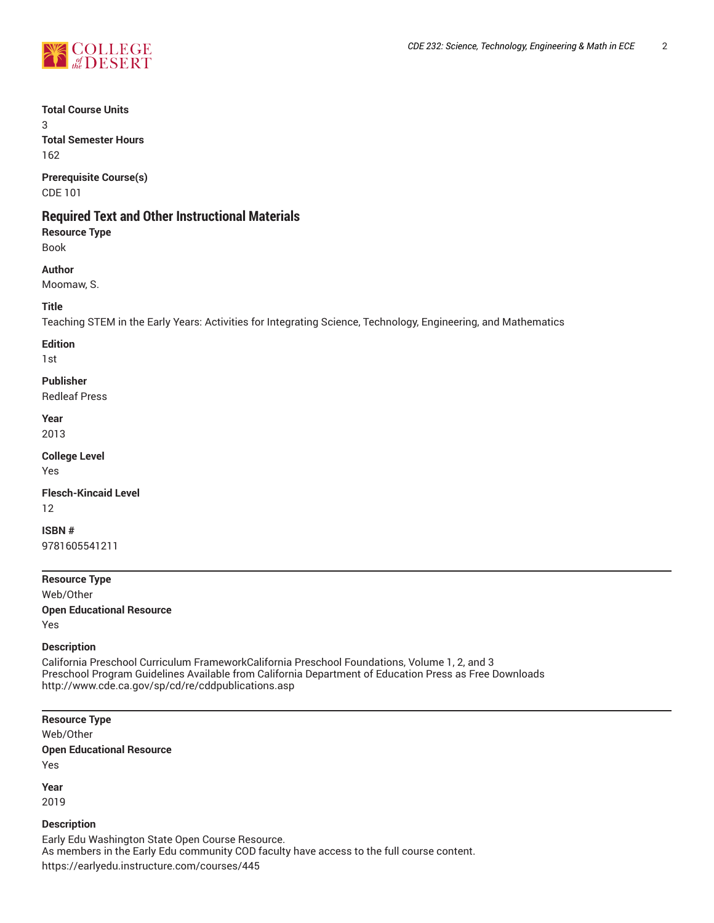

**Total Course Units**

3 **Total Semester Hours**

162

**Prerequisite Course(s)** CDE 101

# **Required Text and Other Instructional Materials**

**Resource Type** Book

## **Author**

Moomaw, S.

## **Title**

Teaching STEM in the Early Years: Activities for Integrating Science, Technology, Engineering, and Mathematics

## **Edition**

1st

## **Publisher**

Redleaf Press

**Year** 2013

**College Level** Yes

**Flesch-Kincaid Level** 12

**ISBN #** 9781605541211

**Resource Type** Web/Other **Open Educational Resource** Yes

## **Description**

California Preschool Curriculum FrameworkCalifornia Preschool Foundations, Volume 1, 2, and 3 Preschool Program Guidelines Available from California Department of Education Press as Free Downloads http://www.cde.ca.gov/sp/cd/re/cddpublications.asp

## **Resource Type**

Web/Other **Open Educational Resource** Yes

**Year**

2019

## **Description**

Early Edu Washington State Open Course Resource. As members in the Early Edu community COD faculty have access to the full course content. https://earlyedu.instructure.com/courses/445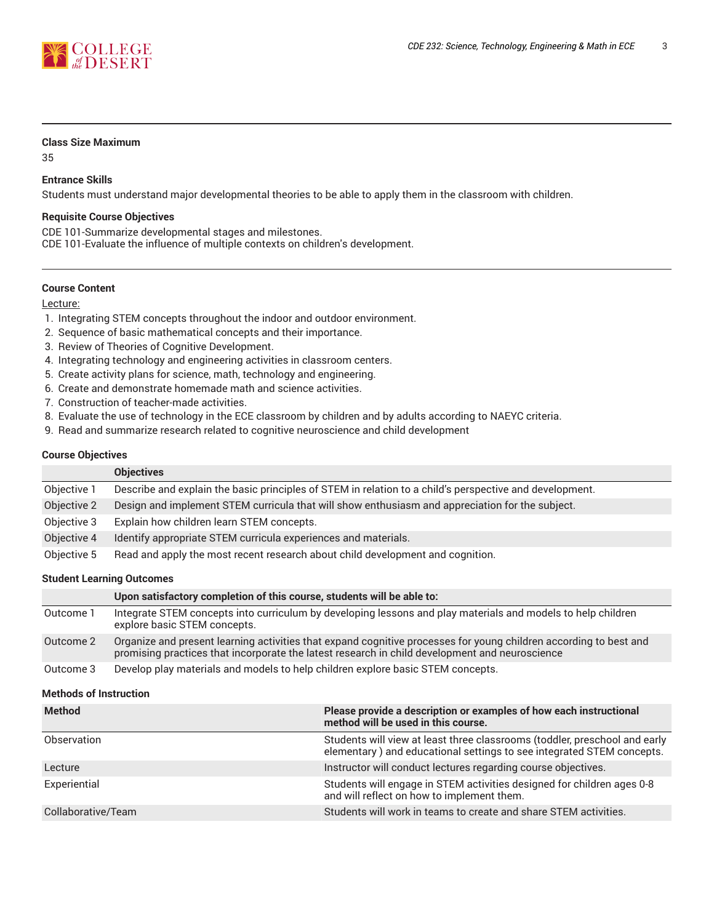

#### **Class Size Maximum**

35

## **Entrance Skills**

Students must understand major developmental theories to be able to apply them in the classroom with children.

#### **Requisite Course Objectives**

CDE 101-Summarize developmental stages and milestones.

CDE 101-Evaluate the influence of multiple contexts on children's development.

#### **Course Content**

Lecture:

- 1. Integrating STEM concepts throughout the indoor and outdoor environment.
- 2. Sequence of basic mathematical concepts and their importance.
- 3. Review of Theories of Cognitive Development.
- 4. Integrating technology and engineering activities in classroom centers.
- 5. Create activity plans for science, math, technology and engineering.
- 6. Create and demonstrate homemade math and science activities.
- 7. Construction of teacher-made activities.
- 8. Evaluate the use of technology in the ECE classroom by children and by adults according to NAEYC criteria.
- 9. Read and summarize research related to cognitive neuroscience and child development

#### **Course Objectives**

|             | <b>Objectives</b>                                                                                       |
|-------------|---------------------------------------------------------------------------------------------------------|
| Objective 1 | Describe and explain the basic principles of STEM in relation to a child's perspective and development. |
| Objective 2 | Design and implement STEM curricula that will show enthusiasm and appreciation for the subject.         |
| Objective 3 | Explain how children learn STEM concepts.                                                               |
| Objective 4 | Identify appropriate STEM curricula experiences and materials.                                          |
| Objective 5 | Read and apply the most recent research about child development and cognition.                          |

#### **Student Learning Outcomes**

|           | Upon satisfactory completion of this course, students will be able to:                                                                                                                                              |
|-----------|---------------------------------------------------------------------------------------------------------------------------------------------------------------------------------------------------------------------|
| Outcome 1 | Integrate STEM concepts into curriculum by developing lessons and play materials and models to help children<br>explore basic STEM concepts.                                                                        |
| Outcome 2 | Organize and present learning activities that expand cognitive processes for young children according to best and<br>promising practices that incorporate the latest research in child development and neuroscience |
| Outcome 3 | Develop play materials and models to help children explore basic STEM concepts.                                                                                                                                     |

#### **Methods of Instruction**

| <b>Method</b>      | Please provide a description or examples of how each instructional<br>method will be used in this course.                                           |
|--------------------|-----------------------------------------------------------------------------------------------------------------------------------------------------|
| Observation        | Students will view at least three classrooms (toddler, preschool and early<br>elementary) and educational settings to see integrated STEM concepts. |
| Lecture            | Instructor will conduct lectures regarding course objectives.                                                                                       |
| Experiential       | Students will engage in STEM activities designed for children ages 0-8<br>and will reflect on how to implement them.                                |
| Collaborative/Team | Students will work in teams to create and share STEM activities.                                                                                    |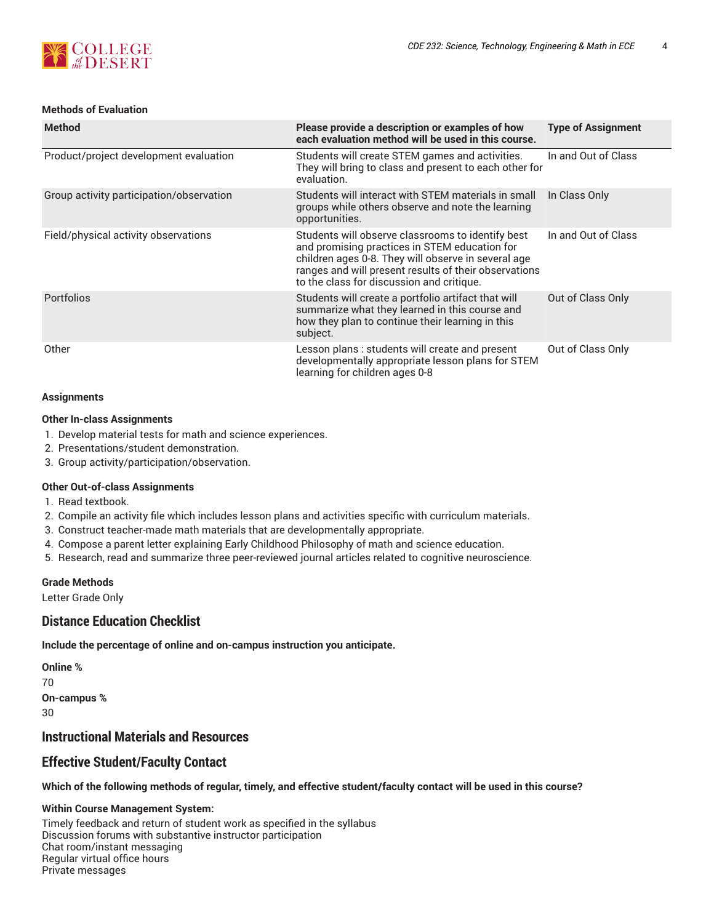

## **Methods of Evaluation**

| <b>Method</b>                            | Please provide a description or examples of how<br>each evaluation method will be used in this course.                                                                                                                                                          | <b>Type of Assignment</b> |
|------------------------------------------|-----------------------------------------------------------------------------------------------------------------------------------------------------------------------------------------------------------------------------------------------------------------|---------------------------|
| Product/project development evaluation   | Students will create STEM games and activities.<br>They will bring to class and present to each other for<br>evaluation.                                                                                                                                        | In and Out of Class       |
| Group activity participation/observation | Students will interact with STEM materials in small<br>groups while others observe and note the learning<br>opportunities.                                                                                                                                      | In Class Only             |
| Field/physical activity observations     | Students will observe classrooms to identify best<br>and promising practices in STEM education for<br>children ages 0-8. They will observe in several age<br>ranges and will present results of their observations<br>to the class for discussion and critique. | In and Out of Class       |
| Portfolios                               | Students will create a portfolio artifact that will<br>summarize what they learned in this course and<br>how they plan to continue their learning in this<br>subject.                                                                                           | Out of Class Only         |
| Other                                    | Lesson plans : students will create and present<br>developmentally appropriate lesson plans for STEM<br>learning for children ages 0-8                                                                                                                          | Out of Class Only         |

#### **Assignments**

#### **Other In-class Assignments**

- 1. Develop material tests for math and science experiences.
- 2. Presentations/student demonstration.
- 3. Group activity/participation/observation.

#### **Other Out-of-class Assignments**

- 1. Read textbook.
- 2. Compile an activity file which includes lesson plans and activities specific with curriculum materials.
- 3. Construct teacher-made math materials that are developmentally appropriate.
- 4. Compose a parent letter explaining Early Childhood Philosophy of math and science education.
- 5. Research, read and summarize three peer-reviewed journal articles related to cognitive neuroscience.

#### **Grade Methods**

Letter Grade Only

## **Distance Education Checklist**

**Include the percentage of online and on-campus instruction you anticipate.**

**Online %** 70 **On-campus %** 30

## **Instructional Materials and Resources**

## **Effective Student/Faculty Contact**

Which of the following methods of regular, timely, and effective student/faculty contact will be used in this course?

#### **Within Course Management System:**

Timely feedback and return of student work as specified in the syllabus Discussion forums with substantive instructor participation Chat room/instant messaging Regular virtual office hours Private messages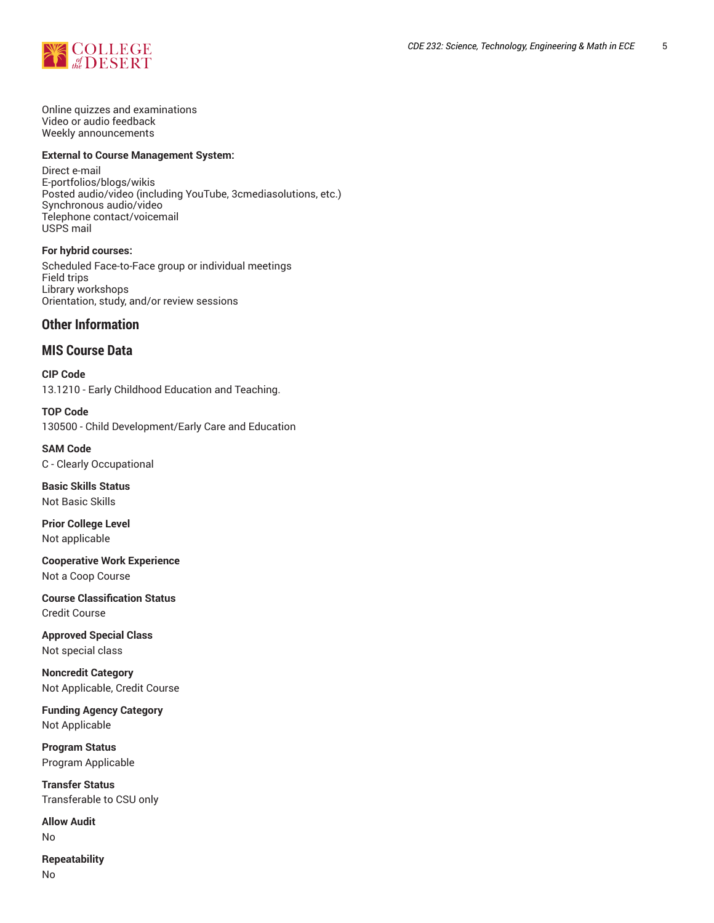

Online quizzes and examinations Video or audio feedback Weekly announcements

#### **External to Course Management System:**

Direct e-mail E-portfolios/blogs/wikis Posted audio/video (including YouTube, 3cmediasolutions, etc.) Synchronous audio/video Telephone contact/voicemail USPS mail

**For hybrid courses:** Scheduled Face-to-Face group or individual meetings Field trips Library workshops Orientation, study, and/or review sessions

## **Other Information**

## **MIS Course Data**

**CIP Code** 13.1210 - Early Childhood Education and Teaching.

**TOP Code** 130500 - Child Development/Early Care and Education

**SAM Code** C - Clearly Occupational

**Basic Skills Status** Not Basic Skills

**Prior College Level** Not applicable

**Cooperative Work Experience** Not a Coop Course

**Course Classification Status** Credit Course

**Approved Special Class** Not special class

**Noncredit Category** Not Applicable, Credit Course

**Funding Agency Category** Not Applicable

**Program Status** Program Applicable

**Transfer Status** Transferable to CSU only

**Allow Audit** No

**Repeatability** No